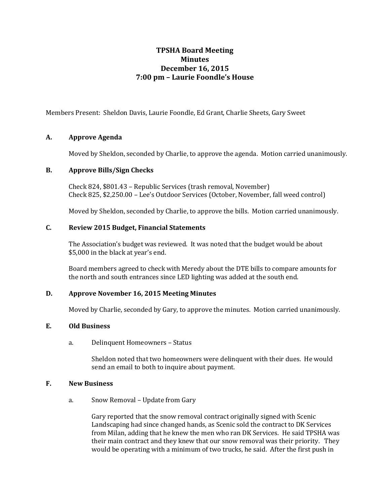# **TPSHA Board Meeting Minutes December 16, 2015 7:00 pm – Laurie Foondle's House**

Members Present: Sheldon Davis, Laurie Foondle, Ed Grant, Charlie Sheets, Gary Sweet

## **A. Approve Agenda**

Moved by Sheldon, seconded by Charlie, to approve the agenda. Motion carried unanimously.

### **B. Approve Bills/Sign Checks**

Check 824, \$801.43 – Republic Services (trash removal, November) Check 825, \$2,250.00 – Lee's Outdoor Services (October, November, fall weed control)

Moved by Sheldon, seconded by Charlie, to approve the bills. Motion carried unanimously.

## **C. Review 2015 Budget, Financial Statements**

The Association's budget was reviewed. It was noted that the budget would be about \$5,000 in the black at year's end.

Board members agreed to check with Meredy about the DTE bills to compare amounts for the north and south entrances since LED lighting was added at the south end.

### **D. Approve November 16, 2015 Meeting Minutes**

Moved by Charlie, seconded by Gary, to approve the minutes. Motion carried unanimously.

## **E. Old Business**

a. Delinquent Homeowners – Status

Sheldon noted that two homeowners were delinquent with their dues. He would send an email to both to inquire about payment.

### **F. New Business**

a. Snow Removal – Update from Gary

Gary reported that the snow removal contract originally signed with Scenic Landscaping had since changed hands, as Scenic sold the contract to DK Services from Milan, adding that he knew the men who ran DK Services. He said TPSHA was their main contract and they knew that our snow removal was their priority. They would be operating with a minimum of two trucks, he said. After the first push in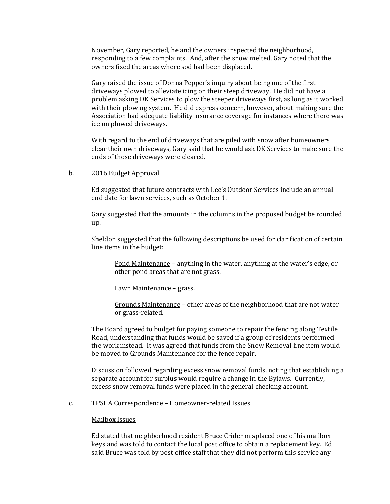November, Gary reported, he and the owners inspected the neighborhood, responding to a few complaints. And, after the snow melted, Gary noted that the owners fixed the areas where sod had been displaced.

Gary raised the issue of Donna Pepper's inquiry about being one of the first driveways plowed to alleviate icing on their steep driveway. He did not have a problem asking DK Services to plow the steeper driveways first, as long as it worked with their plowing system. He did express concern, however, about making sure the Association had adequate liability insurance coverage for instances where there was ice on plowed driveways.

With regard to the end of driveways that are piled with snow after homeowners clear their own driveways, Gary said that he would ask DK Services to make sure the ends of those driveways were cleared.

b. 2016 Budget Approval

Ed suggested that future contracts with Lee's Outdoor Services include an annual end date for lawn services, such as October 1.

Gary suggested that the amounts in the columns in the proposed budget be rounded up.

Sheldon suggested that the following descriptions be used for clarification of certain line items in the budget:

Pond Maintenance – anything in the water, anything at the water's edge, or other pond areas that are not grass.

Lawn Maintenance – grass.

Grounds Maintenance – other areas of the neighborhood that are not water or grass-related.

The Board agreed to budget for paying someone to repair the fencing along Textile Road, understanding that funds would be saved if a group of residents performed the work instead. It was agreed that funds from the Snow Removal line item would be moved to Grounds Maintenance for the fence repair.

Discussion followed regarding excess snow removal funds, noting that establishing a separate account for surplus would require a change in the Bylaws. Currently, excess snow removal funds were placed in the general checking account.

c. TPSHA Correspondence – Homeowner-related Issues

#### Mailbox Issues

Ed stated that neighborhood resident Bruce Crider misplaced one of his mailbox keys and was told to contact the local post office to obtain a replacement key. Ed said Bruce was told by post office staff that they did not perform this service any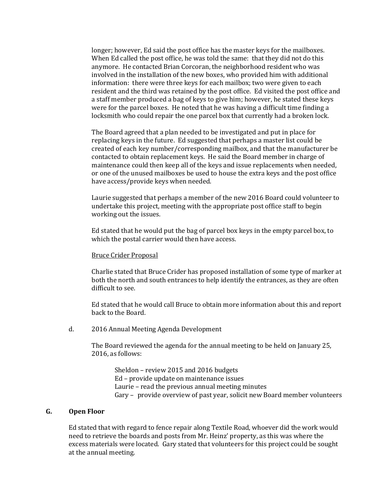longer; however, Ed said the post office has the master keys for the mailboxes. When Ed called the post office, he was told the same: that they did not do this anymore. He contacted Brian Corcoran, the neighborhood resident who was involved in the installation of the new boxes, who provided him with additional information: there were three keys for each mailbox; two were given to each resident and the third was retained by the post office. Ed visited the post office and a staff member produced a bag of keys to give him; however, he stated these keys were for the parcel boxes. He noted that he was having a difficult time finding a locksmith who could repair the one parcel box that currently had a broken lock.

The Board agreed that a plan needed to be investigated and put in place for replacing keys in the future. Ed suggested that perhaps a master list could be created of each key number/corresponding mailbox, and that the manufacturer be contacted to obtain replacement keys. He said the Board member in charge of maintenance could then keep all of the keys and issue replacements when needed, or one of the unused mailboxes be used to house the extra keys and the post office have access/provide keys when needed.

Laurie suggested that perhaps a member of the new 2016 Board could volunteer to undertake this project, meeting with the appropriate post office staff to begin working out the issues.

Ed stated that he would put the bag of parcel box keys in the empty parcel box, to which the postal carrier would then have access.

#### Bruce Crider Proposal

Charlie stated that Bruce Crider has proposed installation of some type of marker at both the north and south entrances to help identify the entrances, as they are often difficult to see.

Ed stated that he would call Bruce to obtain more information about this and report back to the Board.

d. 2016 Annual Meeting Agenda Development

The Board reviewed the agenda for the annual meeting to be held on January 25, 2016, as follows:

Sheldon – review 2015 and 2016 budgets Ed – provide update on maintenance issues Laurie – read the previous annual meeting minutes Gary – provide overview of past year, solicit new Board member volunteers

#### **G. Open Floor**

Ed stated that with regard to fence repair along Textile Road, whoever did the work would need to retrieve the boards and posts from Mr. Heinz' property, as this was where the excess materials were located. Gary stated that volunteers for this project could be sought at the annual meeting.